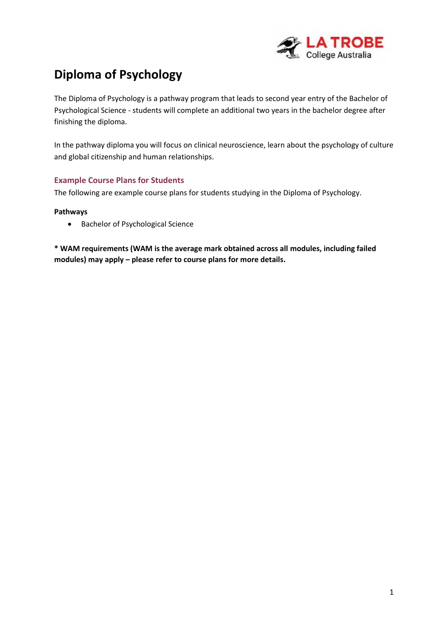

# **Diploma of Psychology**

The Diploma of Psychology is a pathway program that leads to second year entry of the Bachelor of Psychological Science - students will complete an additional two years in the bachelor degree after finishing the diploma.

In the pathway diploma you will focus on clinical neuroscience, learn about the psychology of culture and global citizenship and human relationships.

### **Example Course Plans for Students**

The following are example course plans for students studying in the Diploma of Psychology.

#### **Pathways**

• Bachelor of Psychological Science

**\* WAM requirements (WAM is the average mark obtained across all modules, including failed modules) may apply – please refer to course plans for more details.**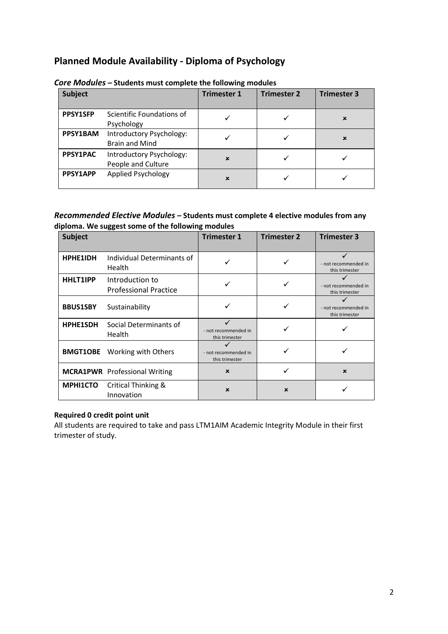### **Planned Module Availability - Diploma of Psychology**

| <b>Subject</b>  |                                                   | <b>Trimester 1</b> | <b>Trimester 2</b> | <b>Trimester 3</b> |
|-----------------|---------------------------------------------------|--------------------|--------------------|--------------------|
| <b>PPSY1SFP</b> | Scientific Foundations of<br>Psychology           |                    |                    | $\mathbf x$        |
| PPSY1BAM        | Introductory Psychology:<br><b>Brain and Mind</b> |                    |                    | $\mathbf x$        |
| PPSY1PAC        | Introductory Psychology:<br>People and Culture    | $\mathbf x$        |                    |                    |
| PPSY1APP        | Applied Psychology                                | $\mathbf x$        |                    |                    |

*Core Modules* **– Students must complete the following modules**

#### *Recommended Elective Modules* **– Students must complete 4 elective modules from any diploma. We suggest some of the following modules**

| <b>Subject</b>  |                                                 | <b>Trimester 1</b>                     | <b>Trimester 2</b>        | <b>Trimester 3</b>                     |
|-----------------|-------------------------------------------------|----------------------------------------|---------------------------|----------------------------------------|
| HPHE1IDH        | Individual Determinants of<br>Health            |                                        |                           | - not recommended in<br>this trimester |
| <b>HHLT1IPP</b> | Introduction to<br><b>Professional Practice</b> |                                        |                           | - not recommended in<br>this trimester |
| <b>BBUS1SBY</b> | Sustainability                                  |                                        |                           | - not recommended in<br>this trimester |
| <b>HPHE1SDH</b> | Social Determinants of<br>Health                | - not recommended in<br>this trimester |                           |                                        |
|                 | <b>BMGT1OBE</b> Working with Others             | - not recommended in<br>this trimester |                           |                                        |
|                 | <b>MCRA1PWR</b> Professional Writing            | $\mathbf x$                            |                           | $\mathbf x$                            |
| MPHI1CTO        | Critical Thinking &<br>Innovation               | $\boldsymbol{\mathsf{x}}$              | $\boldsymbol{\mathsf{x}}$ |                                        |

### **Required 0 credit point unit**

All students are required to take and pass LTM1AIM Academic Integrity Module in their first trimester of study.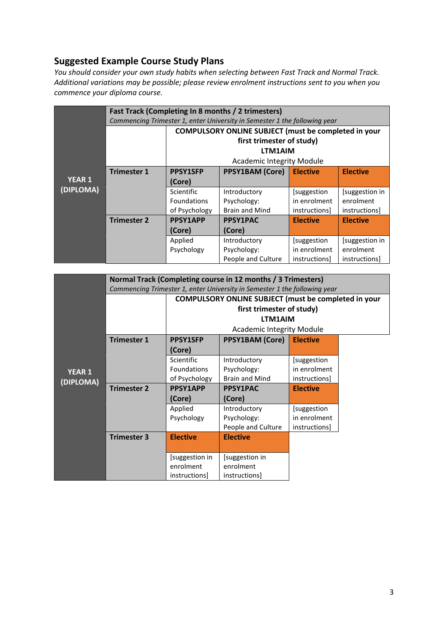### **Suggested Example Course Study Plans**

*You should consider your own study habits when selecting between Fast Track and Normal Track. Additional variations may be possible; please review enrolment instructions sent to you when you commence your diploma course.*

|                            | Fast Track (Completing In 8 months / 2 trimesters)                        |                                                      |                                  |                     |                     |  |
|----------------------------|---------------------------------------------------------------------------|------------------------------------------------------|----------------------------------|---------------------|---------------------|--|
|                            | Commencing Trimester 1, enter University in Semester 1 the following year |                                                      |                                  |                     |                     |  |
|                            |                                                                           | COMPULSORY ONLINE SUBJECT (must be completed in your |                                  |                     |                     |  |
|                            |                                                                           | first trimester of study)                            |                                  |                     |                     |  |
|                            |                                                                           | LTM1AIM                                              |                                  |                     |                     |  |
|                            |                                                                           |                                                      | <b>Academic Integrity Module</b> |                     |                     |  |
|                            | <b>Trimester 1</b>                                                        | <b>PPSY1SFP</b>                                      | <b>PPSY1BAM (Core)</b>           | <b>Elective</b>     | <b>Elective</b>     |  |
| <b>YEAR 1</b><br>(DIPLOMA) |                                                                           | (Core)                                               |                                  |                     |                     |  |
|                            |                                                                           | Scientific                                           | Introductory                     | [suggestion]        | [suggestion in      |  |
|                            |                                                                           | <b>Foundations</b>                                   | Psychology:                      | in enrolment        | enrolment           |  |
|                            |                                                                           | of Psychology                                        | <b>Brain and Mind</b>            | <i>instructions</i> | <i>instructions</i> |  |
|                            | <b>Trimester 2</b>                                                        | <b>PPSY1APP</b>                                      | <b>PPSY1PAC</b>                  | <b>Elective</b>     | <b>Elective</b>     |  |
|                            |                                                                           | (Core)                                               | (Core)                           |                     |                     |  |
|                            | Applied<br>Psychology                                                     |                                                      | Introductory                     | [suggestion]        | [suggestion in]     |  |
|                            |                                                                           |                                                      | Psychology:                      | in enrolment        | enrolment           |  |
|                            |                                                                           |                                                      | People and Culture               | instructions        | <i>instructions</i> |  |

|               | Normal Track (Completing course in 12 months / 3 Trimesters)              |                                                             |                                    |                 |  |  |  |
|---------------|---------------------------------------------------------------------------|-------------------------------------------------------------|------------------------------------|-----------------|--|--|--|
|               | Commencing Trimester 1, enter University in Semester 1 the following year |                                                             |                                    |                 |  |  |  |
|               |                                                                           | <b>COMPULSORY ONLINE SUBJECT (must be completed in your</b> |                                    |                 |  |  |  |
|               | first trimester of study)                                                 |                                                             |                                    |                 |  |  |  |
|               |                                                                           | LTM1AIM<br><b>Academic Integrity Module</b>                 |                                    |                 |  |  |  |
|               |                                                                           |                                                             |                                    |                 |  |  |  |
|               | <b>Trimester 1</b>                                                        | <b>PPSY1SFP</b>                                             | <b>PPSY1BAM (Core)</b>             | <b>Elective</b> |  |  |  |
|               |                                                                           | (Core)                                                      |                                    |                 |  |  |  |
|               |                                                                           | Scientific                                                  | Introductory                       | [suggestion     |  |  |  |
| <b>YEAR 1</b> |                                                                           | <b>Foundations</b>                                          | Psychology:                        | in enrolment    |  |  |  |
| (DIPLOMA)     |                                                                           | of Psychology                                               | <b>Brain and Mind</b>              | instructions]   |  |  |  |
|               | <b>Trimester 2</b>                                                        | <b>PPSY1APP</b>                                             | <b>PPSY1PAC</b><br><b>Elective</b> |                 |  |  |  |
|               |                                                                           | (Core)                                                      | (Core)                             |                 |  |  |  |
|               |                                                                           | Applied                                                     | Introductory                       | [suggestion     |  |  |  |
|               |                                                                           | Psychology                                                  | Psychology:                        | in enrolment    |  |  |  |
|               |                                                                           |                                                             | People and Culture                 | instructions]   |  |  |  |
|               | <b>Trimester 3</b>                                                        | <b>Elective</b>                                             | <b>Elective</b>                    |                 |  |  |  |
|               |                                                                           |                                                             |                                    |                 |  |  |  |
|               |                                                                           | [suggestion in                                              | [suggestion in                     |                 |  |  |  |
|               |                                                                           | enrolment                                                   | enrolment                          |                 |  |  |  |
|               |                                                                           | instructions]                                               | instructions]                      |                 |  |  |  |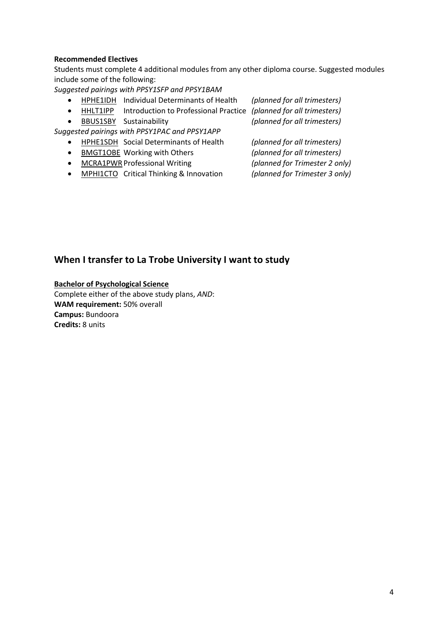#### **Recommended Electives**

Students must complete 4 additional modules from any other diploma course. Suggested modules include some of the following:

*Suggested pairings with PPSY1SFP and PPSY1BAM*

- HPHE1IDH Individual Determinants of Health *(planned for all trimesters)*
- HHLT1IPP Introduction to Professional Practice *(planned for all trimesters)*
- BBUS1SBY Sustainability *(planned for all trimesters)*

*Suggested pairings with PPSY1PAC and PPSY1APP*

- HPHE1SDH Social Determinants of Health *(planned for all trimesters)*
- BMGT1OBE Working with Others *(planned for all trimesters)*
- MCRA1PWRProfessional Writing *(planned for Trimester 2 only)*
- MPHI1CTO Critical Thinking & Innovation *(planned for Trimester 3 only)*

### **When I transfer to La Trobe University I want to study**

**Bachelor of Psychological Science** Complete either of the above study plans, *AND*: **WAM requirement:** 50% overall **Campus:** Bundoora **Credits:** 8 units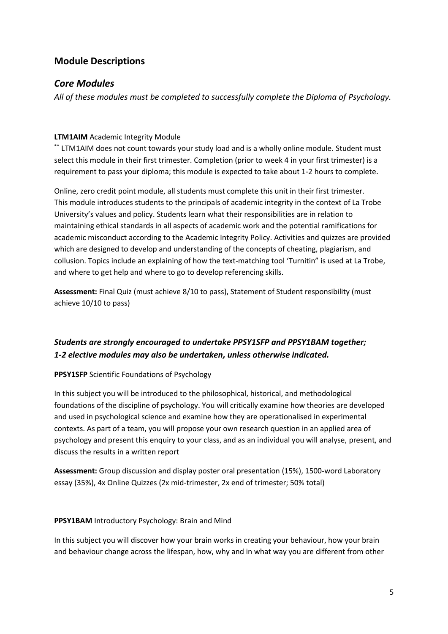### **Module Descriptions**

### *Core Modules*

*All of these modules must be completed to successfully complete the Diploma of Psychology.*

### **LTM1AIM** Academic Integrity Module

\*\* LTM1AIM does not count towards your study load and is a wholly online module. Student must select this module in their first trimester. Completion (prior to week 4 in your first trimester) is a requirement to pass your diploma; this module is expected to take about 1-2 hours to complete.

Online, zero credit point module, all students must complete this unit in their first trimester. This module introduces students to the principals of academic integrity in the context of La Trobe University's values and policy. Students learn what their responsibilities are in relation to maintaining ethical standards in all aspects of academic work and the potential ramifications for academic misconduct according to the Academic Integrity Policy. Activities and quizzes are provided which are designed to develop and understanding of the concepts of cheating, plagiarism, and collusion. Topics include an explaining of how the text-matching tool 'Turnitin" is used at La Trobe, and where to get help and where to go to develop referencing skills.

**Assessment:** Final Quiz (must achieve 8/10 to pass), Statement of Student responsibility (must achieve 10/10 to pass)

### *Students are strongly encouraged to undertake PPSY1SFP and PPSY1BAM together; 1-2 elective modules may also be undertaken, unless otherwise indicated.*

### **PPSY1SFP** Scientific Foundations of Psychology

In this subject you will be introduced to the philosophical, historical, and methodological foundations of the discipline of psychology. You will critically examine how theories are developed and used in psychological science and examine how they are operationalised in experimental contexts. As part of a team, you will propose your own research question in an applied area of psychology and present this enquiry to your class, and as an individual you will analyse, present, and discuss the results in a written report

**Assessment:** Group discussion and display poster oral presentation (15%), 1500-word Laboratory essay (35%), 4x Online Quizzes (2x mid-trimester, 2x end of trimester; 50% total)

### **PPSY1BAM** Introductory Psychology: Brain and Mind

In this subject you will discover how your brain works in creating your behaviour, how your brain and behaviour change across the lifespan, how, why and in what way you are different from other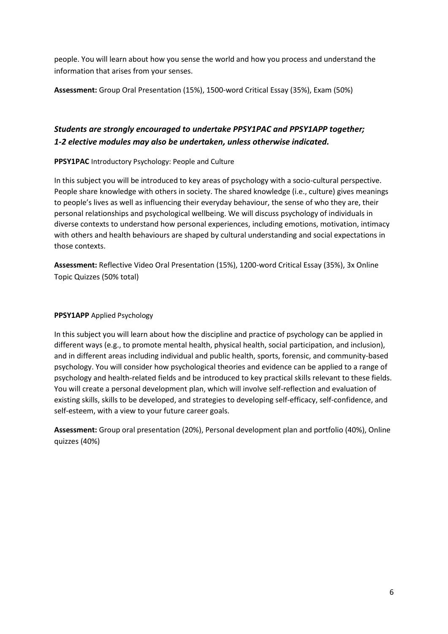people. You will learn about how you sense the world and how you process and understand the information that arises from your senses.

**Assessment:** Group Oral Presentation (15%), 1500-word Critical Essay (35%), Exam (50%)

### *Students are strongly encouraged to undertake PPSY1PAC and PPSY1APP together; 1-2 elective modules may also be undertaken, unless otherwise indicated.*

### **PPSY1PAC** Introductory Psychology: People and Culture

In this subject you will be introduced to key areas of psychology with a socio-cultural perspective. People share knowledge with others in society. The shared knowledge (i.e., culture) gives meanings to people's lives as well as influencing their everyday behaviour, the sense of who they are, their personal relationships and psychological wellbeing. We will discuss psychology of individuals in diverse contexts to understand how personal experiences, including emotions, motivation, intimacy with others and health behaviours are shaped by cultural understanding and social expectations in those contexts.

**Assessment:** Reflective Video Oral Presentation (15%), 1200-word Critical Essay (35%), 3x Online Topic Quizzes (50% total)

### **PPSY1APP** Applied Psychology

In this subject you will learn about how the discipline and practice of psychology can be applied in different ways (e.g., to promote mental health, physical health, social participation, and inclusion), and in different areas including individual and public health, sports, forensic, and community-based psychology. You will consider how psychological theories and evidence can be applied to a range of psychology and health-related fields and be introduced to key practical skills relevant to these fields. You will create a personal development plan, which will involve self-reflection and evaluation of existing skills, skills to be developed, and strategies to developing self-efficacy, self-confidence, and self-esteem, with a view to your future career goals.

**Assessment:** Group oral presentation (20%), Personal development plan and portfolio (40%), Online quizzes (40%)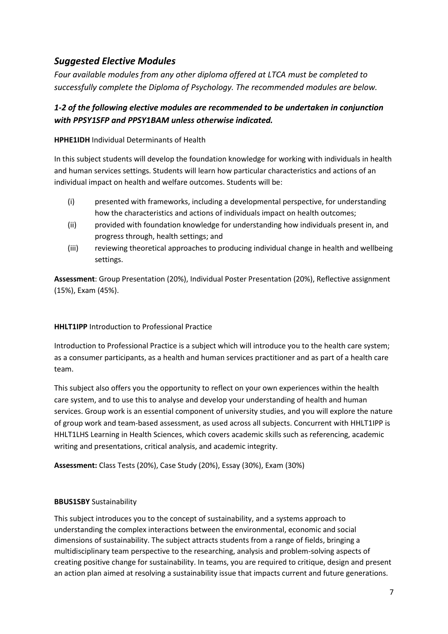### *Suggested Elective Modules*

*Four available modules from any other diploma offered at LTCA must be completed to successfully complete the Diploma of Psychology. The recommended modules are below.*

### *1-2 of the following elective modules are recommended to be undertaken in conjunction with PPSY1SFP and PPSY1BAM unless otherwise indicated.*

### **HPHE1IDH** Individual Determinants of Health

In this subject students will develop the foundation knowledge for working with individuals in health and human services settings. Students will learn how particular characteristics and actions of an individual impact on health and welfare outcomes. Students will be:

- (i) presented with frameworks, including a developmental perspective, for understanding how the characteristics and actions of individuals impact on health outcomes;
- (ii) provided with foundation knowledge for understanding how individuals present in, and progress through, health settings; and
- (iii) reviewing theoretical approaches to producing individual change in health and wellbeing settings.

**Assessment**: Group Presentation (20%), Individual Poster Presentation (20%), Reflective assignment (15%), Exam (45%).

### **HHLT1IPP** Introduction to Professional Practice

Introduction to Professional Practice is a subject which will introduce you to the health care system; as a consumer participants, as a health and human services practitioner and as part of a health care team.

This subject also offers you the opportunity to reflect on your own experiences within the health care system, and to use this to analyse and develop your understanding of health and human services. Group work is an essential component of university studies, and you will explore the nature of group work and team-based assessment, as used across all subjects. Concurrent with HHLT1IPP is HHLT1LHS Learning in Health Sciences, which covers academic skills such as referencing, academic writing and presentations, critical analysis, and academic integrity.

**Assessment:** Class Tests (20%), Case Study (20%), Essay (30%), Exam (30%)

### **BBUS1SBY** Sustainability

This subject introduces you to the concept of sustainability, and a systems approach to understanding the complex interactions between the environmental, economic and social dimensions of sustainability. The subject attracts students from a range of fields, bringing a multidisciplinary team perspective to the researching, analysis and problem-solving aspects of creating positive change for sustainability. In teams, you are required to critique, design and present an action plan aimed at resolving a sustainability issue that impacts current and future generations.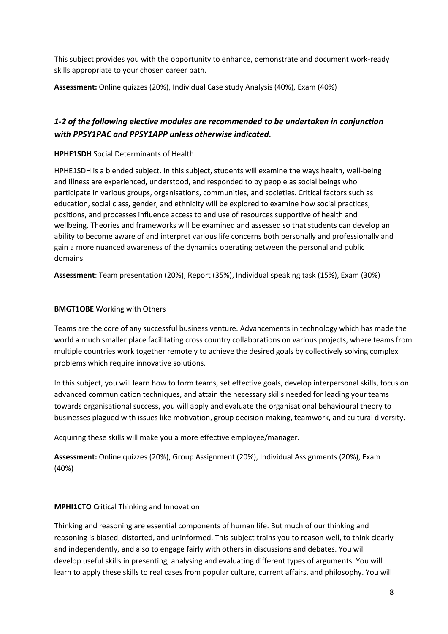This subject provides you with the opportunity to enhance, demonstrate and document work-ready skills appropriate to your chosen career path.

**Assessment:** Online quizzes (20%), Individual Case study Analysis (40%), Exam (40%)

### *1-2 of the following elective modules are recommended to be undertaken in conjunction with PPSY1PAC and PPSY1APP unless otherwise indicated.*

### **HPHE1SDH** Social Determinants of Health

HPHE1SDH is a blended subject. In this subject, students will examine the ways health, well-being and illness are experienced, understood, and responded to by people as social beings who participate in various groups, organisations, communities, and societies. Critical factors such as education, social class, gender, and ethnicity will be explored to examine how social practices, positions, and processes influence access to and use of resources supportive of health and wellbeing. Theories and frameworks will be examined and assessed so that students can develop an ability to become aware of and interpret various life concerns both personally and professionally and gain a more nuanced awareness of the dynamics operating between the personal and public domains.

**Assessment**: Team presentation (20%), Report (35%), Individual speaking task (15%), Exam (30%)

#### **BMGT1OBE** Working with Others

Teams are the core of any successful business venture. Advancements in technology which has made the world a much smaller place facilitating cross country collaborations on various projects, where teams from multiple countries work together remotely to achieve the desired goals by collectively solving complex problems which require innovative solutions.

In this subject, you will learn how to form teams, set effective goals, develop interpersonal skills, focus on advanced communication techniques, and attain the necessary skills needed for leading your teams towards organisational success, you will apply and evaluate the organisational behavioural theory to businesses plagued with issues like motivation, group decision-making, teamwork, and cultural diversity.

Acquiring these skills will make you a more effective employee/manager.

**Assessment:** Online quizzes (20%), Group Assignment (20%), Individual Assignments (20%), Exam (40%)

#### **MPHI1CTO** Critical Thinking and Innovation

Thinking and reasoning are essential components of human life. But much of our thinking and reasoning is biased, distorted, and uninformed. This subject trains you to reason well, to think clearly and independently, and also to engage fairly with others in discussions and debates. You will develop useful skills in presenting, analysing and evaluating different types of arguments. You will learn to apply these skills to real cases from popular culture, current affairs, and philosophy. You will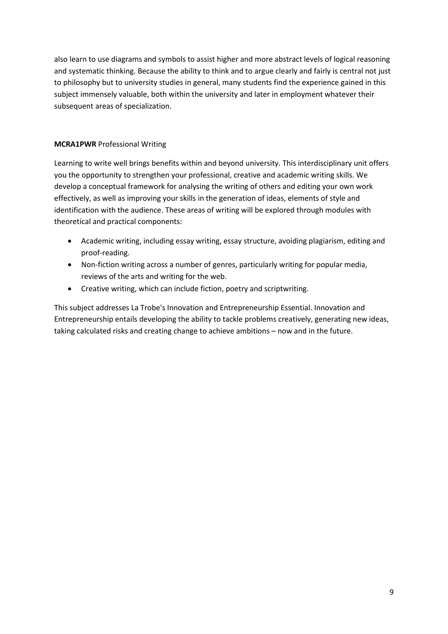also learn to use diagrams and symbols to assist higher and more abstract levels of logical reasoning and systematic thinking. Because the ability to think and to argue clearly and fairly is central not just to philosophy but to university studies in general, many students find the experience gained in this subject immensely valuable, both within the university and later in employment whatever their subsequent areas of specialization.

### **MCRA1PWR** Professional Writing

Learning to write well brings benefits within and beyond university. This interdisciplinary unit offers you the opportunity to strengthen your professional, creative and academic writing skills. We develop a conceptual framework for analysing the writing of others and editing your own work effectively, as well as improving your skills in the generation of ideas, elements of style and identification with the audience. These areas of writing will be explored through modules with theoretical and practical components:

- Academic writing, including essay writing, essay structure, avoiding plagiarism, editing and proof-reading.
- Non-fiction writing across a number of genres, particularly writing for popular media, reviews of the arts and writing for the web.
- Creative writing, which can include fiction, poetry and scriptwriting.

This subject addresses La Trobe's Innovation and Entrepreneurship Essential. Innovation and Entrepreneurship entails developing the ability to tackle problems creatively, generating new ideas, taking calculated risks and creating change to achieve ambitions – now and in the future.